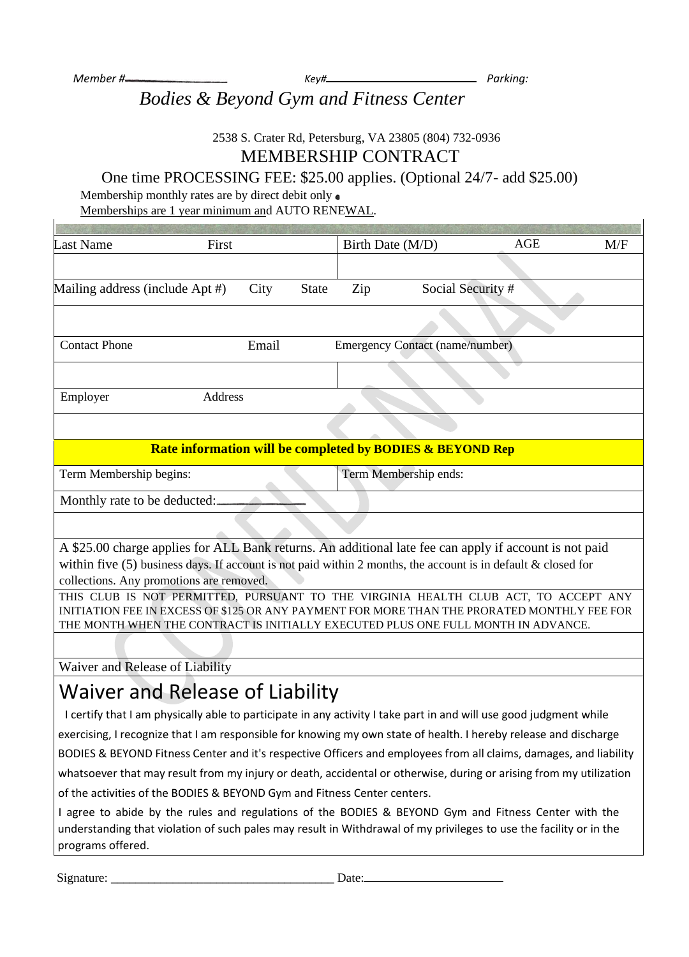*Member # Key#*

*Parking:*

 *Bodies & Beyond Gym and Fitness Center*

2538 S. Crater Rd, Petersburg, VA 23805 (804) 732-0936 MEMBERSHIP CONTRACT

One time PROCESSING FEE: \$25.00 applies. (Optional 24/7- add \$25.00) Membership monthly rates are by direct debit only  $\bullet$ 

Memberships are 1 year minimum and AUTO RENEWAL.

| <b>Last Name</b><br>First                                                                                                                                                                                                                                               |       |              | Birth Date (M/D)                       |                       | <b>AGE</b>        |  | M/F |
|-------------------------------------------------------------------------------------------------------------------------------------------------------------------------------------------------------------------------------------------------------------------------|-------|--------------|----------------------------------------|-----------------------|-------------------|--|-----|
|                                                                                                                                                                                                                                                                         |       |              |                                        |                       |                   |  |     |
| Mailing address (include Apt #)                                                                                                                                                                                                                                         | City  | <b>State</b> | Zip                                    |                       | Social Security # |  |     |
|                                                                                                                                                                                                                                                                         |       |              |                                        |                       |                   |  |     |
| <b>Contact Phone</b>                                                                                                                                                                                                                                                    | Email |              | <b>Emergency Contact (name/number)</b> |                       |                   |  |     |
|                                                                                                                                                                                                                                                                         |       |              |                                        |                       |                   |  |     |
| Address<br>Employer                                                                                                                                                                                                                                                     |       |              |                                        |                       |                   |  |     |
|                                                                                                                                                                                                                                                                         |       |              |                                        |                       |                   |  |     |
| <b>Rate information will be completed by BODIES &amp; BEYOND Rep</b>                                                                                                                                                                                                    |       |              |                                        |                       |                   |  |     |
| Term Membership begins:                                                                                                                                                                                                                                                 |       |              |                                        | Term Membership ends: |                   |  |     |
| Monthly rate to be deducted:                                                                                                                                                                                                                                            |       |              |                                        |                       |                   |  |     |
|                                                                                                                                                                                                                                                                         |       |              |                                        |                       |                   |  |     |
| A \$25.00 charge applies for ALL Bank returns. An additional late fee can apply if account is not paid                                                                                                                                                                  |       |              |                                        |                       |                   |  |     |
| within five $(5)$ business days. If account is not paid within 2 months, the account is in default & closed for<br>collections. Any promotions are removed.                                                                                                             |       |              |                                        |                       |                   |  |     |
| THIS CLUB IS NOT PERMITTED, PURSUANT TO THE VIRGINIA HEALTH CLUB ACT, TO ACCEPT ANY<br>INITIATION FEE IN EXCESS OF \$125 OR ANY PAYMENT FOR MORE THAN THE PRORATED MONTHLY FEE FOR<br>THE MONTH WHEN THE CONTRACT IS INITIALLY EXECUTED PLUS ONE FULL MONTH IN ADVANCE. |       |              |                                        |                       |                   |  |     |
|                                                                                                                                                                                                                                                                         |       |              |                                        |                       |                   |  |     |
| Waiver and Release of Liability                                                                                                                                                                                                                                         |       |              |                                        |                       |                   |  |     |
| Waiver and Release of Liability                                                                                                                                                                                                                                         |       |              |                                        |                       |                   |  |     |
| I certify that I am physically able to participate in any activity I take part in and will use good judgment while                                                                                                                                                      |       |              |                                        |                       |                   |  |     |
| exercising, I recognize that I am responsible for knowing my own state of health. I hereby release and discharge                                                                                                                                                        |       |              |                                        |                       |                   |  |     |
| BODIES & BEYOND Fitness Center and it's respective Officers and employees from all claims, damages, and liability                                                                                                                                                       |       |              |                                        |                       |                   |  |     |
| whatsoever that may result from my injury or death, accidental or otherwise, during or arising from my utilization                                                                                                                                                      |       |              |                                        |                       |                   |  |     |
| of the activities of the BODIES & BEYOND Gym and Fitness Center centers.                                                                                                                                                                                                |       |              |                                        |                       |                   |  |     |
| I agree to abide by the rules and regulations of the BODIES & BEYOND Gym and Fitness Center with the<br>understanding that violation of such pales may result in Withdrawal of my privileges to use the facility or in the<br>programs offered.                         |       |              |                                        |                       |                   |  |     |

Signature: \_\_\_\_\_\_\_\_\_\_\_\_\_\_\_\_\_\_\_\_\_\_\_\_\_\_\_\_\_\_\_\_\_\_\_\_ Date: